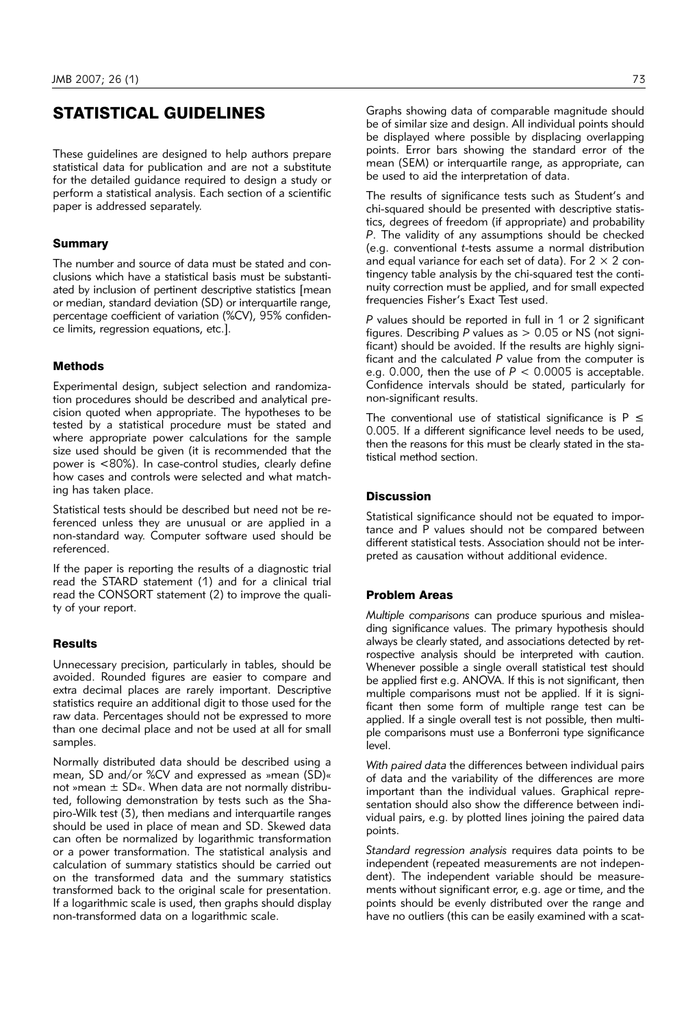# STATISTICAL GUIDELINES

These guidelines are designed to help authors prepare statistical data for publication and are not a substitute for the detailed guidance required to design a study or perform a statistical analysis. Each section of a scientific paper is addressed separately.

# **Summary**

The number and source of data must be stated and conclusions which have a statistical basis must be substantiated by inclusion of pertinent descriptive statistics [mean or median, standard deviation (SD) or interquartile range, percentage coefficient of variation (%CV), 95% confidence limits, regression equations, etc.].

#### **Methods**

Experimental design, subject selection and randomization procedures should be described and analytical precision quoted when appropriate. The hypotheses to be tested by a statistical procedure must be stated and where appropriate power calculations for the sample size used should be given (it is recommended that the power is <80%). In case-control studies, clearly define how cases and controls were selected and what matching has taken place.

Statistical tests should be described but need not be referenced unless they are unusual or are applied in a non-standard way. Computer software used should be referenced.

If the paper is reporting the results of a diagnostic trial read the STARD statement (1) and for a clinical trial read the CONSORT statement (2) to improve the quality of your report.

#### **Results**

Unnecessary precision, particularly in tables, should be avoided. Rounded figures are easier to compare and extra decimal places are rarely important. Descriptive statistics require an additional digit to those used for the raw data. Percentages should not be expressed to more than one decimal place and not be used at all for small samples.

Normally distributed data should be described using a mean, SD and/or %CV and expressed as »mean (SD)« not »mean  $\pm$  SD«. When data are not normally distributed, following demonstration by tests such as the Shapiro-Wilk test (3), then medians and interquartile ranges should be used in place of mean and SD. Skewed data can often be normalized by logarithmic transformation or a power transformation. The statistical analysis and calculation of summary statistics should be carried out on the transformed data and the summary statistics transformed back to the original scale for presentation. If a logarithmic scale is used, then graphs should display non-transformed data on a logarithmic scale.

Graphs showing data of comparable magnitude should be of similar size and design. All individual points should be displayed where possible by displacing overlapping points. Error bars showing the standard error of the mean (SEM) or interquartile range, as appropriate, can be used to aid the interpretation of data.

The results of significance tests such as Student's and chi-squared should be presented with descriptive statistics, degrees of freedom (if appropriate) and probability *P*. The validity of any assumptions should be checked (e.g. conventional *t*-tests assume a normal distribution and equal variance for each set of data). For  $2 \times 2$  contingency table analysis by the chi-squared test the continuity correction must be applied, and for small expected frequencies Fisher's Exact Test used.

*P* values should be reported in full in 1 or 2 significant figures. Describing *P* values as > 0.05 or NS (not significant) should be avoided. If the results are highly significant and the calculated *P* value from the computer is e.g. 0.000, then the use of  $P < 0.0005$  is acceptable. Confidence intervals should be stated, particularly for non-significant results.

The conventional use of statistical significance is  $P \leq$ 0.005. If a different significance level needs to be used, then the reasons for this must be clearly stated in the statistical method section.

### **Discussion**

Statistical significance should not be equated to importance and P values should not be compared between different statistical tests. Association should not be interpreted as causation without additional evidence.

# Problem Areas

*Multiple comparisons* can produce spurious and misleading significance values. The primary hypothesis should always be clearly stated, and associations detected by retrospective analysis should be interpreted with caution. Whenever possible a single overall statistical test should be applied first e.g. ANOVA. If this is not significant, then multiple comparisons must not be applied. If it is significant then some form of multiple range test can be applied. If a single overall test is not possible, then multiple comparisons must use a Bonferroni type significance level.

*With paired data* the differences between individual pairs of data and the variability of the differences are more important than the individual values. Graphical representation should also show the difference between individual pairs, e.g. by plotted lines joining the paired data points.

*Standard regression analysis* requires data points to be independent (repeated measurements are not independent). The independent variable should be measurements without significant error, e.g. age or time, and the points should be evenly distributed over the range and have no outliers (this can be easily examined with a scat